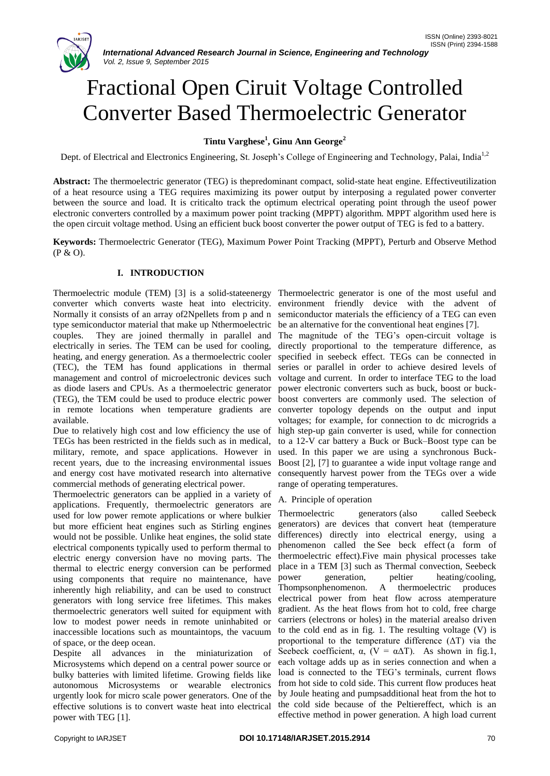# Fractional Open Ciruit Voltage Controlled Converter Based Thermoelectric Generator

# **Tintu Varghese<sup>1</sup> , Ginu Ann George<sup>2</sup>**

Dept. of Electrical and Electronics Engineering, St. Joseph's College of Engineering and Technology, Palai, India<sup>1,2</sup>

**Abstract:** The thermoelectric generator (TEG) is thepredominant compact, solid-state heat engine. Effectiveutilization of a heat resource using a TEG requires maximizing its power output by interposing a regulated power converter between the source and load. It is criticalto track the optimum electrical operating point through the useof power electronic converters controlled by a maximum power point tracking (MPPT) algorithm. MPPT algorithm used here is the open circuit voltage method. Using an efficient buck boost converter the power output of TEG is fed to a battery.

**Keywords:** Thermoelectric Generator (TEG), Maximum Power Point Tracking (MPPT), Perturb and Observe Method (P & O).

# **I. INTRODUCTION**

Thermoelectric module (TEM) [3] is a solid-stateenergy Thermoelectric generator is one of the most useful and converter which converts waste heat into electricity. environment friendly device with the advent of Normally it consists of an array of2Npellets from p and n type semiconductor material that make up Nthermoelectric couples. They are joined thermally in parallel and electrically in series. The TEM can be used for cooling, heating, and energy generation. As a thermoelectric cooler (TEC), the TEM has found applications in thermal management and control of microelectronic devices such as diode lasers and CPUs. As a thermoelectric generator (TEG), the TEM could be used to produce electric power in remote locations when temperature gradients are available.

Due to relatively high cost and low efficiency the use of TEGs has been restricted in the fields such as in medical, military, remote, and space applications. However in recent years, due to the increasing environmental issues and energy cost have motivated research into alternative commercial methods of generating electrical power.

Thermoelectric generators can be applied in a variety of applications. Frequently, thermoelectric generators are used for low power remote applications or where bulkier but more efficient heat engines such as Stirling engines would not be possible. Unlike heat engines, the solid state electrical components typically used to perform thermal to electric energy conversion have no moving parts. The thermal to electric energy conversion can be performed using components that require no maintenance, have inherently high reliability, and can be used to construct generators with long service free lifetimes. This makes thermoelectric generators well suited for equipment with low to modest power needs in remote uninhabited or inaccessible locations such as mountaintops, the vacuum of space, or the deep ocean.

Despite all advances in the miniaturization of Microsystems which depend on a central power source or bulky batteries with limited lifetime. Growing fields like autonomous Microsystems or wearable electronics urgently look for micro scale power generators. One of the effective solutions is to convert waste heat into electrical power with TEG [1].

semiconductor materials the efficiency of a TEG can even be an alternative for the conventional heat engines [7].

The magnitude of the TEG's open-circuit voltage is directly proportional to the temperature difference, as specified in seebeck effect. TEGs can be connected in series or parallel in order to achieve desired levels of voltage and current. In order to interface TEG to the load power electronic converters such as buck, boost or buckboost converters are commonly used. The selection of converter topology depends on the output and input voltages; for example, for connection to dc microgrids a high step-up gain converter is used, while for connection to a 12-V car battery a Buck or Buck–Boost type can be used. In this paper we are using a synchronous Buck-Boost [2], [7] to guarantee a wide input voltage range and consequently harvest power from the TEGs over a wide range of operating temperatures.

# A. Principle of operation

Thermoelectric generators (also called Seebeck generators) are devices that convert heat (temperature differences) directly into electrical energy, using a phenomenon called the See beck effect (a form of thermoelectric effect).Five main physical processes take place in a TEM [3] such as Thermal convection, Seebeck power generation, peltier heating/cooling, Thompsonphenomenon. A thermoelectric produces electrical power from heat flow across atemperature gradient. As the heat flows from hot to cold, free charge carriers (electrons or holes) in the material arealso driven to the cold end as in fig. 1. The resulting voltage (V) is proportional to the temperature difference  $(ΔT)$  via the Seebeck coefficient,  $\alpha$ ,  $(V = \alpha \Delta T)$ . As shown in fig.1, each voltage adds up as in series connection and when a load is connected to the TEG's terminals, current flows from hot side to cold side. This current flow produces heat by Joule heating and pumpsadditional heat from the hot to the cold side because of the Peltiereffect, which is an effective method in power generation. A high load current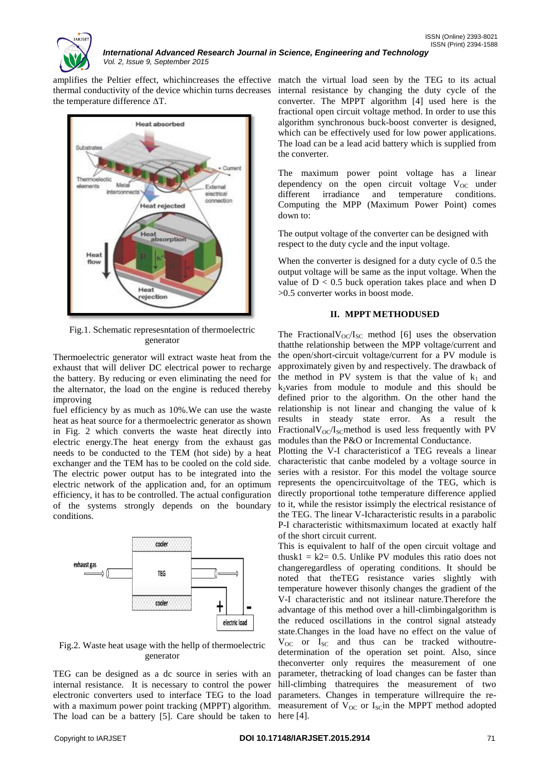

*International Advanced Research Journal in Science, Engineering and Technology Vol. 2, Issue 9, September 2015*

amplifies the Peltier effect, whichincreases the effective match the virtual load seen by the TEG to its actual thermal conductivity of the device whichin turns decreases the temperature difference ΔT.



Fig.1. Schematic represesntation of thermoelectric generator

Thermoelectric generator will extract waste heat from the exhaust that will deliver DC electrical power to recharge the battery. By reducing or even eliminating the need for the alternator, the load on the engine is reduced thereby improving

fuel efficiency by as much as 10%.We can use the waste heat as heat source for a thermoelectric generator as shown in Fig. 2 which converts the waste heat directly into electric energy.The heat energy from the exhaust gas needs to be conducted to the TEM (hot side) by a heat exchanger and the TEM has to be cooled on the cold side. The electric power output has to be integrated into the electric network of the application and, for an optimum efficiency, it has to be controlled. The actual configuration of the systems strongly depends on the boundary conditions.



Fig.2. Waste heat usage with the hellp of thermoelectric generator

TEG can be designed as a dc source in series with an internal resistance. It is necessary to control the power electronic converters used to interface TEG to the load with a maximum power point tracking (MPPT) algorithm. The load can be a battery [5]. Care should be taken to here [4].

internal resistance by changing the duty cycle of the converter. The MPPT algorithm [4] used here is the fractional open circuit voltage method. In order to use this algorithm synchronous buck-boost converter is designed, which can be effectively used for low power applications. The load can be a lead acid battery which is supplied from the converter.

The maximum power point voltage has a linear dependency on the open circuit voltage  $V_{OC}$  under different irradiance and temperature conditions. Computing the MPP (Maximum Power Point) comes down to:

The output voltage of the converter can be designed with respect to the duty cycle and the input voltage.

When the converter is designed for a duty cycle of 0.5 the output voltage will be same as the input voltage. When the value of  $D < 0.5$  buck operation takes place and when D >0.5 converter works in boost mode.

#### **II. MPPT METHODUSED**

The Fractional $V_{OC}/I_{SC}$  method [6] uses the observation thatthe relationship between the MPP voltage/current and the open/short-circuit voltage/current for a PV module is approximately given by and respectively. The drawback of the method in PV system is that the value of  $k_1$  and  $k_2$ varies from module to module and this should be defined prior to the algorithm. On the other hand the relationship is not linear and changing the value of k results in steady state error. As a result the FractionalV $_{\text{OC}}$ /I<sub>SC</sub>method is used less frequently with PV modules than the P&O or Incremental Conductance.

Plotting the V-I characteristicof a TEG reveals a linear characteristic that canbe modeled by a voltage source in series with a resistor. For this model the voltage source represents the opencircuitvoltage of the TEG, which is directly proportional tothe temperature difference applied to it, while the resistor issimply the electrical resistance of the TEG. The linear V-Icharacteristic results in a parabolic P-I characteristic withitsmaximum located at exactly half of the short circuit current.

This is equivalent to half of the open circuit voltage and thusk1 =  $k2 = 0.5$ . Unlike PV modules this ratio does not changeregardless of operating conditions. It should be noted that theTEG resistance varies slightly with temperature however thisonly changes the gradient of the V-I characteristic and not itslinear nature.Therefore the advantage of this method over a hill-climbingalgorithm is the reduced oscillations in the control signal atsteady state.Changes in the load have no effect on the value of  $V_{OC}$  or  $I_{SC}$  and thus can be tracked withoutredetermination of the operation set point. Also, since theconverter only requires the measurement of one parameter, thetracking of load changes can be faster than hill-climbing thatrequires the measurement of two parameters. Changes in temperature willrequire the remeasurement of  $V_{\rm OC}$  or  $I_{\rm sc}$  in the MPPT method adopted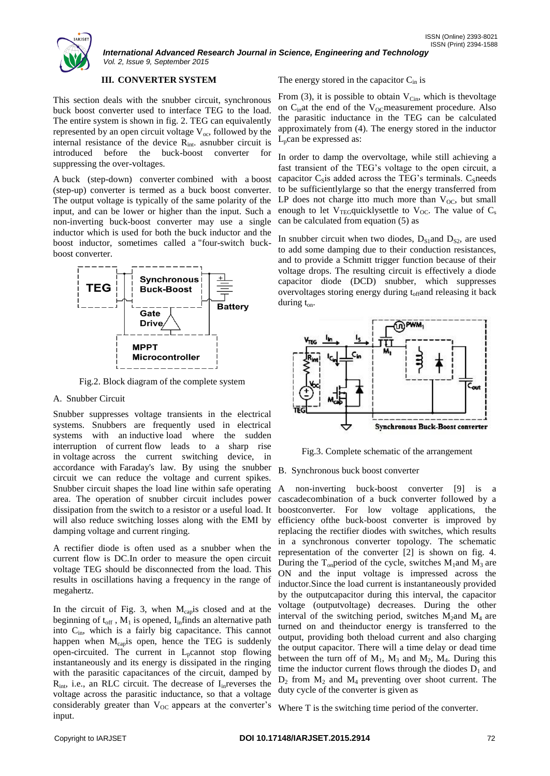

*International Advanced Research Journal in Science, Engineering and Technology Vol. 2, Issue 9, September 2015*

### **III. CONVERTER SYSTEM**

This section deals with the snubber circuit, synchronous buck boost converter used to interface TEG to the load. The entire system is shown in fig. 2. TEG can equivalently represented by an open circuit voltage  $V_{oc}$ , followed by the internal resistance of the device  $R_{int}$  asnubber circuit is introduced before the buck-boost converter for suppressing the over-voltages.

A buck (step-down) converter combined with a boost (step-up) converter is termed as a buck boost converter. The output voltage is typically of the same polarity of the input, and can be lower or higher than the input. Such a non-inverting buck-boost converter may use a single inductor which is used for both the buck inductor and the boost inductor, sometimes called a "four-switch buckboost converter.



Fig.2. Block diagram of the complete system

#### A. Snubber Circuit

Snubber suppresses voltage transients in the electrical systems. Snubbers are frequently used in electrical systems with an inductive load where the sudden interruption of current flow leads to a sharp rise in voltage across the current switching device, in accordance with Faraday's law. By using the snubber B. Synchronous buck boost converter circuit we can reduce the voltage and current spikes. Snubber circuit shapes the load line within safe operating area. The operation of snubber circuit includes power dissipation from the switch to a resistor or a useful load. It will also reduce switching losses along with the EMI by damping voltage and current ringing.

A rectifier diode is often used as a snubber when the current flow is DC.In order to measure the open circuit voltage TEG should be disconnected from the load. This results in oscillations having a frequency in the range of megahertz.

In the circuit of Fig. 3, when  $M_{cap}$  is closed and at the beginning of  $t_{off}$ ,  $M_1$  is opened, I<sub>in</sub>finds an alternative path into  $C_{in}$ , which is a fairly big capacitance. This cannot happen when  $M_{cap}$  is open, hence the TEG is suddenly open-circuited. The current in  $L_p$ cannot stop flowing instantaneously and its energy is dissipated in the ringing with the parasitic capacitances of the circuit, damped by  $R_{\text{int}}$ , i.e., an RLC circuit. The decrease of  $I_{\text{in}}$  reverses the voltage across the parasitic inductance, so that a voltage considerably greater than  $V_{OC}$  appears at the converter's input.

### The energy stored in the capacitor  $C_{in}$  is

From (3), it is possible to obtain  $V_{\text{Cin}}$ , which is the voltage on  $C_{\text{in}}$ at the end of the V<sub>OC</sub> measurement procedure. Also the parasitic inductance in the TEG can be calculated approximately from (4). The energy stored in the inductor  $L<sub>n</sub>$ can be expressed as:

In order to damp the overvoltage, while still achieving a fast transient of the TEG's voltage to the open circuit, a capacitor  $C_s$  is added across the TEG's terminals.  $C_s$  needs to be sufficientlylarge so that the energy transferred from LP does not charge itto much more than  $V_{OC}$ , but small enough to let  $V_{TEG}$ quicklysettle to  $V_{OC}$ . The value of  $C_s$ can be calculated from equation (5) as

In snubber circuit when two diodes,  $D_{S1}$  and  $D_{S2}$ , are used to add some damping due to their conduction resistances, and to provide a Schmitt trigger function because of their voltage drops. The resulting circuit is effectively a diode capacitor diode (DCD) snubber, which suppresses overvoltages storing energy during t<sub>off</sub>and releasing it back during  $t_{on}$ .



Fig.3. Complete schematic of the arrangement

A non-inverting buck-boost converter [9] is a cascadecombination of a buck converter followed by a boostconverter. For low voltage applications, the efficiency ofthe buck-boost converter is improved by replacing the rectifier diodes with switches, which results in a synchronous converter topology. The schematic representation of the converter [2] is shown on fig. 4. During the T<sub>on</sub>period of the cycle, switches  $M_1$  and  $M_3$  are ON and the input voltage is impressed across the inductor.Since the load current is instantaneously provided by the outputcapacitor during this interval, the capacitor voltage (outputvoltage) decreases. During the other interval of the switching period, switches  $M_2$  and  $M_4$  are turned on and theinductor energy is transferred to the output, providing both theload current and also charging the output capacitor. There will a time delay or dead time between the turn off of  $M_1$ ,  $M_3$  and  $M_2$ ,  $M_4$ . During this time the inductor current flows through the diodes  $D_1$  and  $D_2$  from  $M_2$  and  $M_4$  preventing over shoot current. The duty cycle of the converter is given as

Where T is the switching time period of the converter.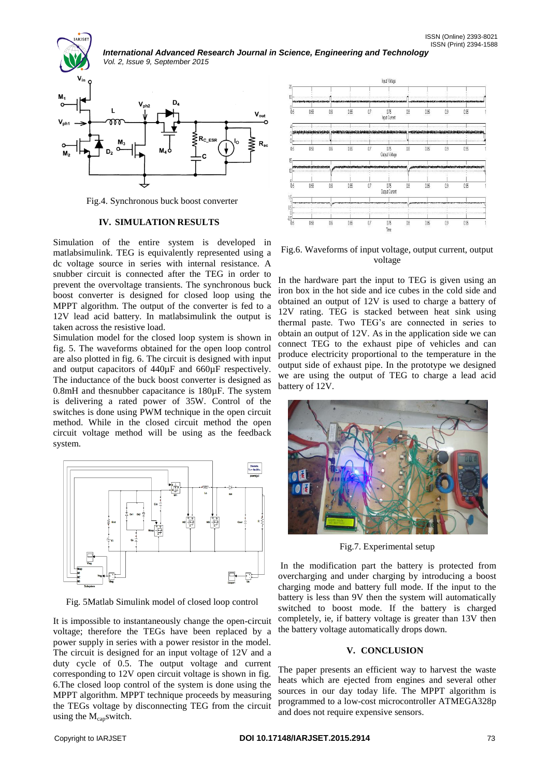*International Advanced Research Journal in Science, Engineering and Technology Vol. 2, Issue 9, September 2015*



Fig.4. Synchronous buck boost converter

#### **IV. SIMULATION RESULTS**

Simulation of the entire system is developed in matlabsimulink. TEG is equivalently represented using a dc voltage source in series with internal resistance. A snubber circuit is connected after the TEG in order to prevent the overvoltage transients. The synchronous buck boost converter is designed for closed loop using the MPPT algorithm. The output of the converter is fed to a 12V lead acid battery. In matlabsimulink the output is taken across the resistive load.

Simulation model for the closed loop system is shown in fig. 5. The waveforms obtained for the open loop control are also plotted in fig. 6. The circuit is designed with input and output capacitors of 440µF and 660µF respectively. The inductance of the buck boost converter is designed as 0.8mH and thesnubber capacitance is 180µF. The system is delivering a rated power of 35W. Control of the switches is done using PWM technique in the open circuit method. While in the closed circuit method the open circuit voltage method will be using as the feedback system.



Fig. 5Matlab Simulink model of closed loop control

It is impossible to instantaneously change the open-circuit voltage; therefore the TEGs have been replaced by a power supply in series with a power resistor in the model. The circuit is designed for an input voltage of 12V and a duty cycle of 0.5. The output voltage and current corresponding to 12V open circuit voltage is shown in fig. 6.The closed loop control of the system is done using the MPPT algorithm. MPPT technique proceeds by measuring the TEGs voltage by disconnecting TEG from the circuit using the  $M_{cap}$ switch.



Fig.6. Waveforms of input voltage, output current, output voltage

In the hardware part the input to TEG is given using an iron box in the hot side and ice cubes in the cold side and obtained an output of 12V is used to charge a battery of 12V rating. TEG is stacked between heat sink using thermal paste. Two TEG's are connected in series to obtain an output of 12V. As in the application side we can connect TEG to the exhaust pipe of vehicles and can produce electricity proportional to the temperature in the output side of exhaust pipe. In the prototype we designed we are using the output of TEG to charge a lead acid battery of 12V.



Fig.7. Experimental setup

In the modification part the battery is protected from overcharging and under charging by introducing a boost charging mode and battery full mode. If the input to the battery is less than 9V then the system will automatically switched to boost mode. If the battery is charged completely, ie, if battery voltage is greater than 13V then the battery voltage automatically drops down.

## **V. CONCLUSION**

The paper presents an efficient way to harvest the waste heats which are ejected from engines and several other sources in our day today life. The MPPT algorithm is programmed to a low-cost microcontroller ATMEGA328p and does not require expensive sensors.